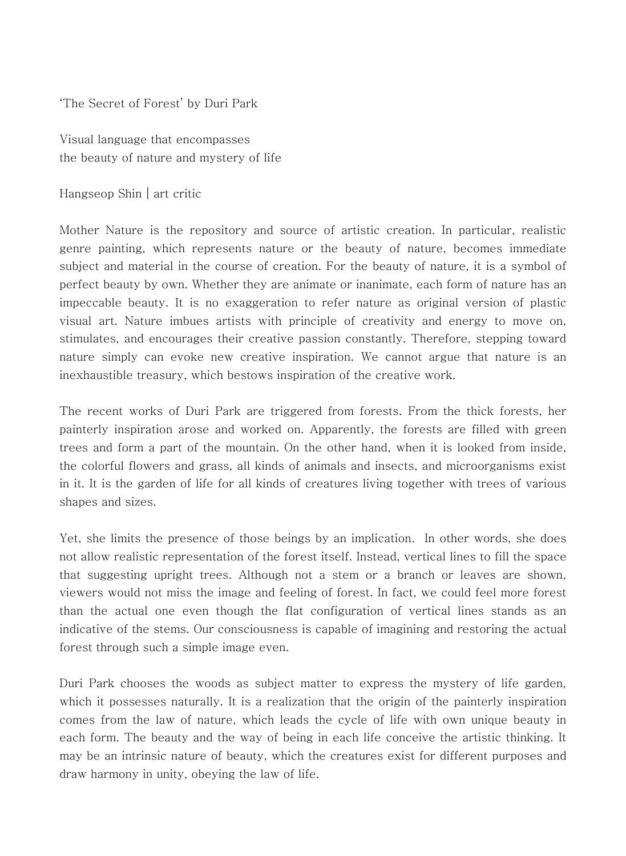'The Secret of Forest' by Duri Park

Visual language that encompasses the beauty of nature and mystery of life

Hangseop Shin│art critic

Mother Nature is the repository and source of artistic creation. In particular, realistic genre painting, which represents nature or the beauty of nature, becomes immediate subject and material in the course of creation. For the beauty of nature, it is a symbol of perfect beauty by own. Whether they are animate or inanimate, each form of nature has an impeccable beauty. It is no exaggeration to refer nature as original version of plastic visual art. Nature imbues artists with principle of creativity and energy to move on, stimulates, and encourages their creative passion constantly. Therefore, stepping toward nature simply can evoke new creative inspiration. We cannot argue that nature is an inexhaustible treasury, which bestows inspiration of the creative work.

The recent works of Duri Park are triggered from forests. From the thick forests, her painterly inspiration arose and worked on. Apparently, the forests are filled with green trees and form a part of the mountain. On the other hand, when it is looked from inside, the colorful flowers and grass, all kinds of animals and insects, and microorganisms exist in it. It is the garden of life for all kinds of creatures living together with trees of various shapes and sizes.

Yet, she limits the presence of those beings by an implication. In other words, she does not allow realistic representation of the forest itself. Instead, vertical lines to fill the space that suggesting upright trees. Although not a stem or a branch or leaves are shown, viewers would not miss the image and feeling of forest. In fact, we could feel more forest than the actual one even though the flat configuration of vertical lines stands as an indicative of the stems. Our consciousness is capable of imagining and restoring the actual forest through such a simple image even.

Duri Park chooses the woods as subject matter to express the mystery of life garden, which it possesses naturally. It is a realization that the origin of the painterly inspiration comes from the law of nature, which leads the cycle of life with own unique beauty in each form. The beauty and the way of being in each life conceive the artistic thinking. It may be an intrinsic nature of beauty, which the creatures exist for different purposes and draw harmony in unity, obeying the law of life.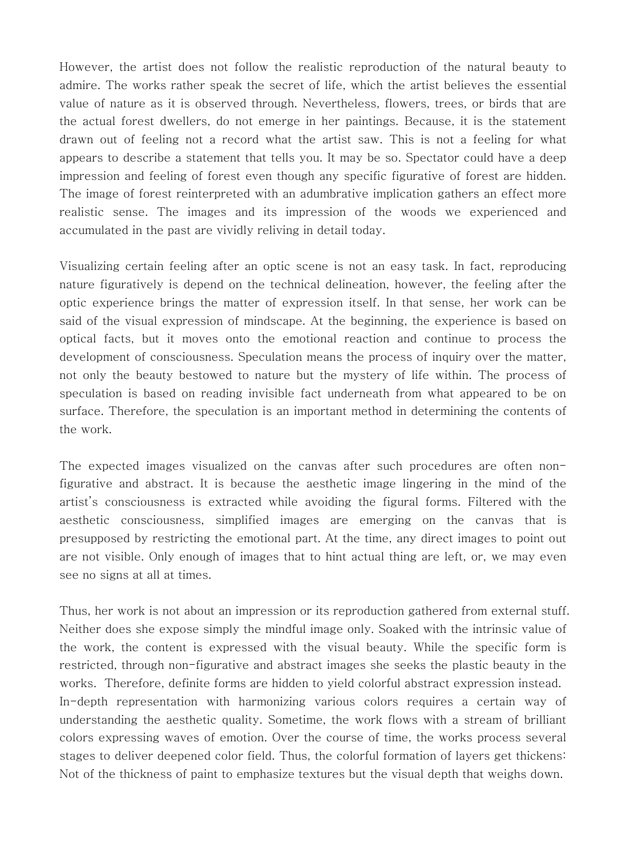However, the artist does not follow the realistic reproduction of the natural beauty to admire. The works rather speak the secret of life, which the artist believes the essential value of nature as it is observed through. Nevertheless, flowers, trees, or birds that are the actual forest dwellers, do not emerge in her paintings. Because, it is the statement drawn out of feeling not a record what the artist saw. This is not a feeling for what appears to describe a statement that tells you. It may be so. Spectator could have a deep impression and feeling of forest even though any specific figurative of forest are hidden. The image of forest reinterpreted with an adumbrative implication gathers an effect more realistic sense. The images and its impression of the woods we experienced and accumulated in the past are vividly reliving in detail today.

Visualizing certain feeling after an optic scene is not an easy task. In fact, reproducing nature figuratively is depend on the technical delineation, however, the feeling after the optic experience brings the matter of expression itself. In that sense, her work can be said of the visual expression of mindscape. At the beginning, the experience is based on optical facts, but it moves onto the emotional reaction and continue to process the development of consciousness. Speculation means the process of inquiry over the matter, not only the beauty bestowed to nature but the mystery of life within. The process of speculation is based on reading invisible fact underneath from what appeared to be on surface. Therefore, the speculation is an important method in determining the contents of the work.

The expected images visualized on the canvas after such procedures are often nonfigurative and abstract. It is because the aesthetic image lingering in the mind of the artist's consciousness is extracted while avoiding the figural forms. Filtered with the aesthetic consciousness, simplified images are emerging on the canvas that is presupposed by restricting the emotional part. At the time, any direct images to point out are not visible. Only enough of images that to hint actual thing are left, or, we may even see no signs at all at times.

Thus, her work is not about an impression or its reproduction gathered from external stuff. Neither does she expose simply the mindful image only. Soaked with the intrinsic value of the work, the content is expressed with the visual beauty. While the specific form is restricted, through non-figurative and abstract images she seeks the plastic beauty in the works. Therefore, definite forms are hidden to yield colorful abstract expression instead. In-depth representation with harmonizing various colors requires a certain way of understanding the aesthetic quality. Sometime, the work flows with a stream of brilliant colors expressing waves of emotion. Over the course of time, the works process several stages to deliver deepened color field. Thus, the colorful formation of layers get thickens: Not of the thickness of paint to emphasize textures but the visual depth that weighs down.